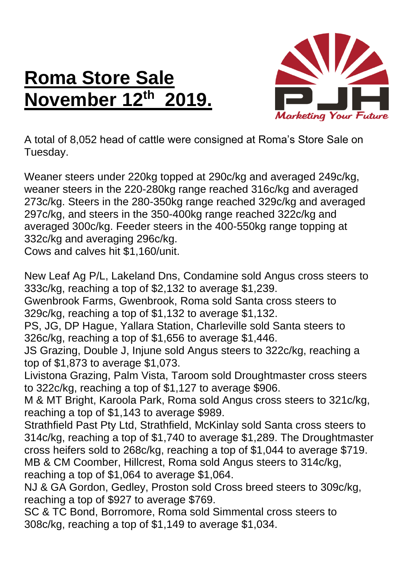## **Roma Store Sale November 12th 2019.**



A total of 8,052 head of cattle were consigned at Roma's Store Sale on Tuesday.

Weaner steers under 220kg topped at 290c/kg and averaged 249c/kg, weaner steers in the 220-280kg range reached 316c/kg and averaged 273c/kg. Steers in the 280-350kg range reached 329c/kg and averaged 297c/kg, and steers in the 350-400kg range reached 322c/kg and averaged 300c/kg. Feeder steers in the 400-550kg range topping at 332c/kg and averaging 296c/kg.

Cows and calves hit \$1,160/unit.

New Leaf Ag P/L, Lakeland Dns, Condamine sold Angus cross steers to 333c/kg, reaching a top of \$2,132 to average \$1,239.

Gwenbrook Farms, Gwenbrook, Roma sold Santa cross steers to 329c/kg, reaching a top of \$1,132 to average \$1,132.

PS, JG, DP Hague, Yallara Station, Charleville sold Santa steers to 326c/kg, reaching a top of \$1,656 to average \$1,446.

JS Grazing, Double J, Injune sold Angus steers to 322c/kg, reaching a top of \$1,873 to average \$1,073.

Livistona Grazing, Palm Vista, Taroom sold Droughtmaster cross steers to 322c/kg, reaching a top of \$1,127 to average \$906.

M & MT Bright, Karoola Park, Roma sold Angus cross steers to 321c/kg, reaching a top of \$1,143 to average \$989.

Strathfield Past Pty Ltd, Strathfield, McKinlay sold Santa cross steers to 314c/kg, reaching a top of \$1,740 to average \$1,289. The Droughtmaster cross heifers sold to 268c/kg, reaching a top of \$1,044 to average \$719. MB & CM Coomber, Hillcrest, Roma sold Angus steers to 314c/kg, reaching a top of \$1,064 to average \$1,064.

NJ & GA Gordon, Gedley, Proston sold Cross breed steers to 309c/kg, reaching a top of \$927 to average \$769.

SC & TC Bond, Borromore, Roma sold Simmental cross steers to 308c/kg, reaching a top of \$1,149 to average \$1,034.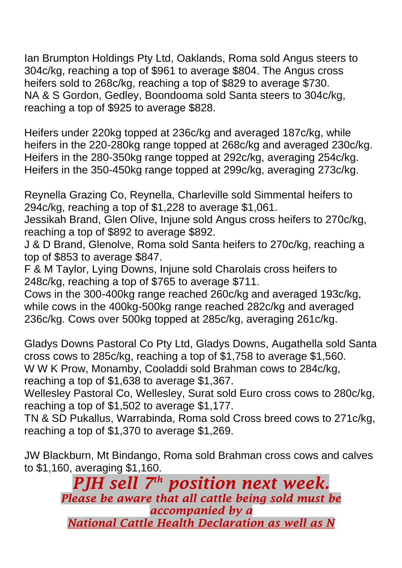Ian Brumpton Holdings Pty Ltd, Oaklands, Roma sold Angus steers to 304c/kg, reaching a top of \$961 to average \$804. The Angus cross heifers sold to 268c/kg, reaching a top of \$829 to average \$730. NA & S Gordon, Gedley, Boondooma sold Santa steers to 304c/kg, reaching a top of \$925 to average \$828.

Heifers under 220kg topped at 236c/kg and averaged 187c/kg, while heifers in the 220-280kg range topped at 268c/kg and averaged 230c/kg. Heifers in the 280-350kg range topped at 292c/kg, averaging 254c/kg. Heifers in the 350-450kg range topped at 299c/kg, averaging 273c/kg.

Reynella Grazing Co, Reynella, Charleville sold Simmental heifers to 294c/kg, reaching a top of \$1,228 to average \$1,061.

Jessikah Brand, Glen Olive, Injune sold Angus cross heifers to 270c/kg, reaching a top of \$892 to average \$892.

J & D Brand, Glenolve, Roma sold Santa heifers to 270c/kg, reaching a top of \$853 to average \$847.

F & M Taylor, Lying Downs, Injune sold Charolais cross heifers to 248c/kg, reaching a top of \$765 to average \$711.

Cows in the 300-400kg range reached 260c/kg and averaged 193c/kg, while cows in the 400kg-500kg range reached 282c/kg and averaged 236c/kg. Cows over 500kg topped at 285c/kg, averaging 261c/kg.

Gladys Downs Pastoral Co Pty Ltd, Gladys Downs, Augathella sold Santa cross cows to 285c/kg, reaching a top of \$1,758 to average \$1,560. W W K Prow, Monamby, Cooladdi sold Brahman cows to 284c/kg, reaching a top of \$1,638 to average \$1,367.

Wellesley Pastoral Co, Wellesley, Surat sold Euro cross cows to 280c/kg, reaching a top of \$1,502 to average \$1,177.

TN & SD Pukallus, Warrabinda, Roma sold Cross breed cows to 271c/kg, reaching a top of \$1,370 to average \$1,269.

JW Blackburn, Mt Bindango, Roma sold Brahman cross cows and calves to \$1,160, averaging \$1,160.

> *PJH sell 7 th position next week. Please be aware that all cattle being sold must be accompanied by a National Cattle Health Declaration as well as N*